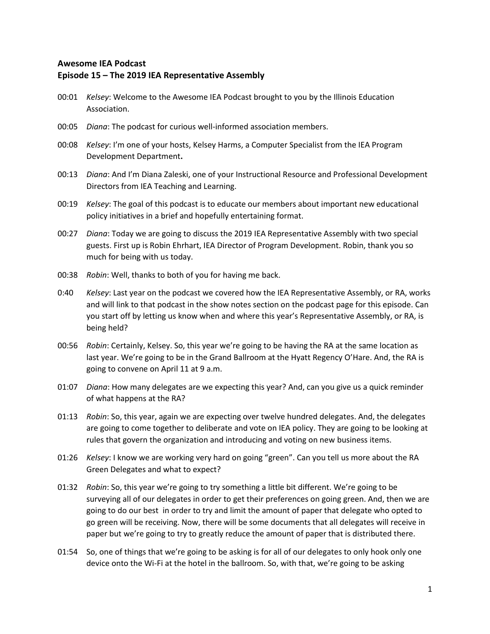## **Awesome IEA Podcast Episode 15 – The 2019 IEA Representative Assembly**

- 00:01 *Kelsey*: Welcome to the Awesome IEA Podcast brought to you by the Illinois Education Association.
- 00:05 *Diana*: The podcast for curious well-informed association members.
- 00:08 *Kelsey*: I'm one of your hosts, Kelsey Harms, a Computer Specialist from the IEA Program Development Department**.**
- 00:13 *Diana*: And I'm Diana Zaleski, one of your Instructional Resource and Professional Development Directors from IEA Teaching and Learning.
- 00:19 *Kelsey*: The goal of this podcast is to educate our members about important new educational policy initiatives in a brief and hopefully entertaining format.
- 00:27 *Diana*: Today we are going to discuss the 2019 IEA Representative Assembly with two special guests. First up is Robin Ehrhart, IEA Director of Program Development. Robin, thank you so much for being with us today.
- 00:38 *Robin*: Well, thanks to both of you for having me back.
- 0:40 *Kelsey*: Last year on the podcast we covered how the IEA Representative Assembly, or RA, works and will link to that podcast in the show notes section on the podcast page for this episode. Can you start off by letting us know when and where this year's Representative Assembly, or RA, is being held?
- 00:56 *Robin*: Certainly, Kelsey. So, this year we're going to be having the RA at the same location as last year. We're going to be in the Grand Ballroom at the Hyatt Regency O'Hare. And, the RA is going to convene on April 11 at 9 a.m.
- 01:07 *Diana*: How many delegates are we expecting this year? And, can you give us a quick reminder of what happens at the RA?
- 01:13 *Robin*: So, this year, again we are expecting over twelve hundred delegates. And, the delegates are going to come together to deliberate and vote on IEA policy. They are going to be looking at rules that govern the organization and introducing and voting on new business items.
- 01:26 *Kelsey*: I know we are working very hard on going "green". Can you tell us more about the RA Green Delegates and what to expect?
- 01:32 *Robin*: So, this year we're going to try something a little bit different. We're going to be surveying all of our delegates in order to get their preferences on going green. And, then we are going to do our best in order to try and limit the amount of paper that delegate who opted to go green will be receiving. Now, there will be some documents that all delegates will receive in paper but we're going to try to greatly reduce the amount of paper that is distributed there.
- 01:54 So, one of things that we're going to be asking is for all of our delegates to only hook only one device onto the Wi-Fi at the hotel in the ballroom. So, with that, we're going to be asking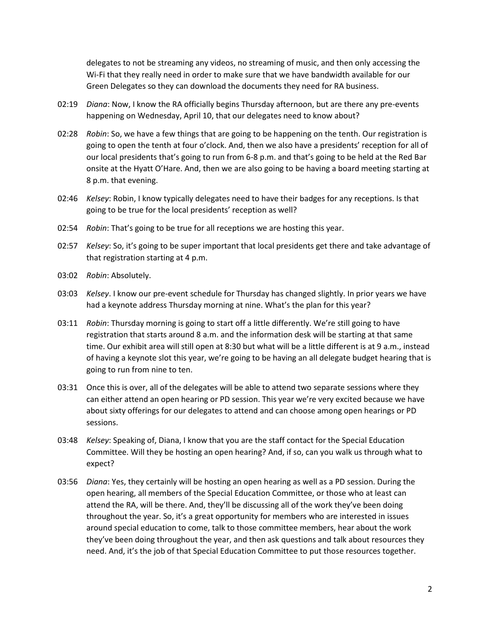delegates to not be streaming any videos, no streaming of music, and then only accessing the Wi-Fi that they really need in order to make sure that we have bandwidth available for our Green Delegates so they can download the documents they need for RA business.

- 02:19 *Diana*: Now, I know the RA officially begins Thursday afternoon, but are there any pre-events happening on Wednesday, April 10, that our delegates need to know about?
- 02:28 *Robin*: So, we have a few things that are going to be happening on the tenth. Our registration is going to open the tenth at four o'clock. And, then we also have a presidents' reception for all of our local presidents that's going to run from 6-8 p.m. and that's going to be held at the Red Bar onsite at the Hyatt O'Hare. And, then we are also going to be having a board meeting starting at 8 p.m. that evening.
- 02:46 *Kelsey*: Robin, I know typically delegates need to have their badges for any receptions. Is that going to be true for the local presidents' reception as well?
- 02:54 *Robin*: That's going to be true for all receptions we are hosting this year.
- 02:57 *Kelsey*: So, it's going to be super important that local presidents get there and take advantage of that registration starting at 4 p.m.
- 03:02 *Robin*: Absolutely.
- 03:03 *Kelsey*. I know our pre-event schedule for Thursday has changed slightly. In prior years we have had a keynote address Thursday morning at nine. What's the plan for this year?
- 03:11 *Robin*: Thursday morning is going to start off a little differently. We're still going to have registration that starts around 8 a.m. and the information desk will be starting at that same time. Our exhibit area will still open at 8:30 but what will be a little different is at 9 a.m., instead of having a keynote slot this year, we're going to be having an all delegate budget hearing that is going to run from nine to ten.
- 03:31 Once this is over, all of the delegates will be able to attend two separate sessions where they can either attend an open hearing or PD session. This year we're very excited because we have about sixty offerings for our delegates to attend and can choose among open hearings or PD sessions.
- 03:48 *Kelsey*: Speaking of, Diana, I know that you are the staff contact for the Special Education Committee. Will they be hosting an open hearing? And, if so, can you walk us through what to expect?
- 03:56 *Diana*: Yes, they certainly will be hosting an open hearing as well as a PD session. During the open hearing, all members of the Special Education Committee, or those who at least can attend the RA, will be there. And, they'll be discussing all of the work they've been doing throughout the year. So, it's a great opportunity for members who are interested in issues around special education to come, talk to those committee members, hear about the work they've been doing throughout the year, and then ask questions and talk about resources they need. And, it's the job of that Special Education Committee to put those resources together.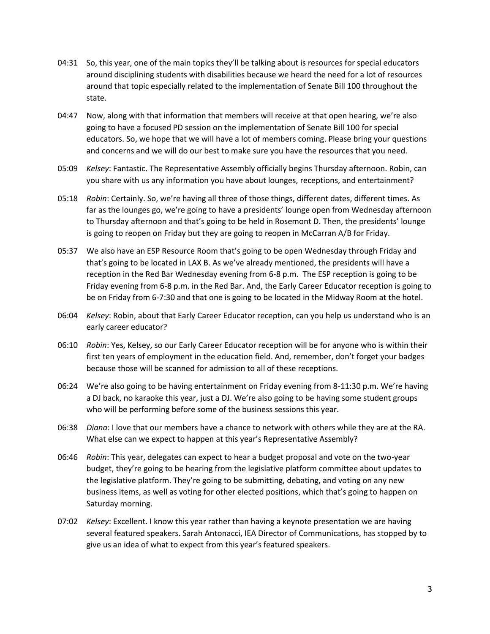- 04:31 So, this year, one of the main topics they'll be talking about is resources for special educators around disciplining students with disabilities because we heard the need for a lot of resources around that topic especially related to the implementation of Senate Bill 100 throughout the state.
- 04:47 Now, along with that information that members will receive at that open hearing, we're also going to have a focused PD session on the implementation of Senate Bill 100 for special educators. So, we hope that we will have a lot of members coming. Please bring your questions and concerns and we will do our best to make sure you have the resources that you need.
- 05:09 *Kelsey*: Fantastic. The Representative Assembly officially begins Thursday afternoon. Robin, can you share with us any information you have about lounges, receptions, and entertainment?
- 05:18 *Robin*: Certainly. So, we're having all three of those things, different dates, different times. As far as the lounges go, we're going to have a presidents' lounge open from Wednesday afternoon to Thursday afternoon and that's going to be held in Rosemont D. Then, the presidents' lounge is going to reopen on Friday but they are going to reopen in McCarran A/B for Friday.
- 05:37 We also have an ESP Resource Room that's going to be open Wednesday through Friday and that's going to be located in LAX B. As we've already mentioned, the presidents will have a reception in the Red Bar Wednesday evening from 6-8 p.m. The ESP reception is going to be Friday evening from 6-8 p.m. in the Red Bar. And, the Early Career Educator reception is going to be on Friday from 6-7:30 and that one is going to be located in the Midway Room at the hotel.
- 06:04 *Kelsey*: Robin, about that Early Career Educator reception, can you help us understand who is an early career educator?
- 06:10 *Robin*: Yes, Kelsey, so our Early Career Educator reception will be for anyone who is within their first ten years of employment in the education field. And, remember, don't forget your badges because those will be scanned for admission to all of these receptions.
- 06:24 We're also going to be having entertainment on Friday evening from 8-11:30 p.m. We're having a DJ back, no karaoke this year, just a DJ. We're also going to be having some student groups who will be performing before some of the business sessions this year.
- 06:38 *Diana*: I love that our members have a chance to network with others while they are at the RA. What else can we expect to happen at this year's Representative Assembly?
- 06:46 *Robin*: This year, delegates can expect to hear a budget proposal and vote on the two-year budget, they're going to be hearing from the legislative platform committee about updates to the legislative platform. They're going to be submitting, debating, and voting on any new business items, as well as voting for other elected positions, which that's going to happen on Saturday morning.
- 07:02 *Kelsey*: Excellent. I know this year rather than having a keynote presentation we are having several featured speakers. Sarah Antonacci, IEA Director of Communications, has stopped by to give us an idea of what to expect from this year's featured speakers.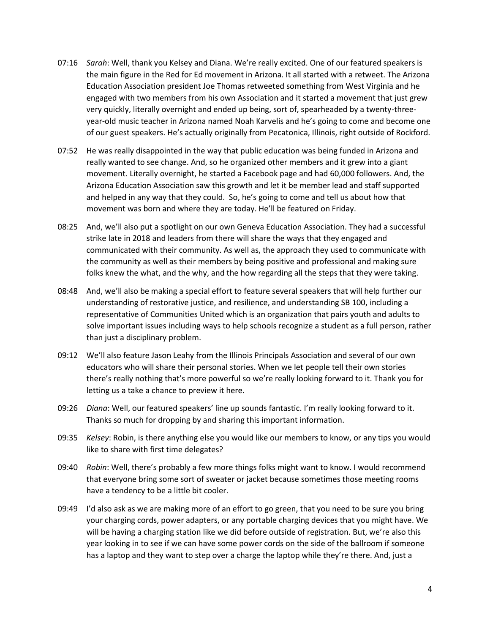- 07:16 *Sarah*: Well, thank you Kelsey and Diana. We're really excited. One of our featured speakers is the main figure in the Red for Ed movement in Arizona. It all started with a retweet. The Arizona Education Association president Joe Thomas retweeted something from West Virginia and he engaged with two members from his own Association and it started a movement that just grew very quickly, literally overnight and ended up being, sort of, spearheaded by a twenty-threeyear-old music teacher in Arizona named Noah Karvelis and he's going to come and become one of our guest speakers. He's actually originally from Pecatonica, Illinois, right outside of Rockford.
- 07:52 He was really disappointed in the way that public education was being funded in Arizona and really wanted to see change. And, so he organized other members and it grew into a giant movement. Literally overnight, he started a Facebook page and had 60,000 followers. And, the Arizona Education Association saw this growth and let it be member lead and staff supported and helped in any way that they could. So, he's going to come and tell us about how that movement was born and where they are today. He'll be featured on Friday.
- 08:25 And, we'll also put a spotlight on our own Geneva Education Association. They had a successful strike late in 2018 and leaders from there will share the ways that they engaged and communicated with their community. As well as, the approach they used to communicate with the community as well as their members by being positive and professional and making sure folks knew the what, and the why, and the how regarding all the steps that they were taking.
- 08:48 And, we'll also be making a special effort to feature several speakers that will help further our understanding of restorative justice, and resilience, and understanding SB 100, including a representative of Communities United which is an organization that pairs youth and adults to solve important issues including ways to help schools recognize a student as a full person, rather than just a disciplinary problem.
- 09:12 We'll also feature Jason Leahy from the Illinois Principals Association and several of our own educators who will share their personal stories. When we let people tell their own stories there's really nothing that's more powerful so we're really looking forward to it. Thank you for letting us a take a chance to preview it here.
- 09:26 *Diana*: Well, our featured speakers' line up sounds fantastic. I'm really looking forward to it. Thanks so much for dropping by and sharing this important information.
- 09:35 *Kelsey*: Robin, is there anything else you would like our members to know, or any tips you would like to share with first time delegates?
- 09:40 *Robin*: Well, there's probably a few more things folks might want to know. I would recommend that everyone bring some sort of sweater or jacket because sometimes those meeting rooms have a tendency to be a little bit cooler.
- 09:49 I'd also ask as we are making more of an effort to go green, that you need to be sure you bring your charging cords, power adapters, or any portable charging devices that you might have. We will be having a charging station like we did before outside of registration. But, we're also this year looking in to see if we can have some power cords on the side of the ballroom if someone has a laptop and they want to step over a charge the laptop while they're there. And, just a